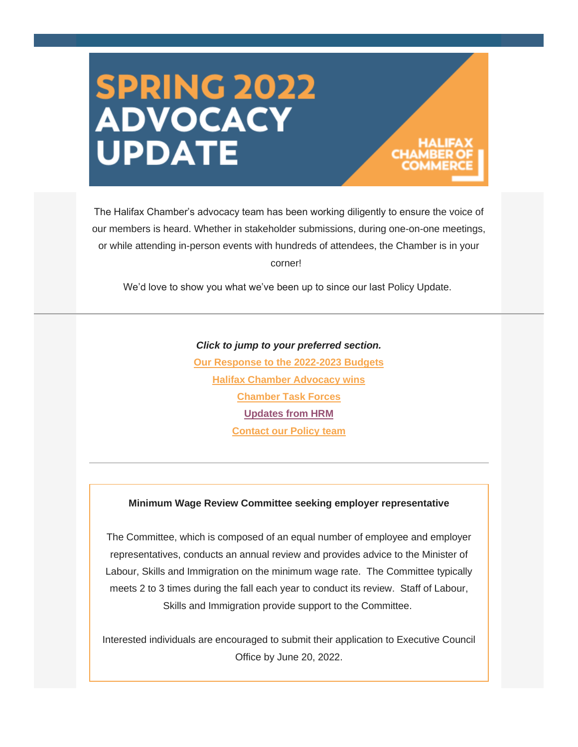# **SPRING 2022<br>ADVOCACY UPDATE**

The Halifax Chamber's advocacy team has been working diligently to ensure the voice of our members is heard. Whether in stakeholder submissions, during one-on-one meetings, or while attending in-person events with hundreds of attendees, the Chamber is in your corner!

We'd love to show you what we've been up to since our last Policy Update.

#### *Click to jump to your preferred section.*

**[Our Response to the 2022-2023 Budgets](#page-1-0) [Halifax Chamber Advocacy wins](#page-1-1) [Chamber Task Forces](#page-3-0) [Updates from HRM](#page-3-1) [Contact our Policy team](#page-3-1)**

#### **Minimum Wage Review Committee seeking employer representative**

The Committee, which is composed of an equal number of employee and employer representatives, conducts an annual review and provides advice to the Minister of Labour, Skills and Immigration on the minimum wage rate. The Committee typically meets 2 to 3 times during the fall each year to conduct its review. Staff of Labour, Skills and Immigration provide support to the Committee.

Interested individuals are encouraged to submit their application to Executive Council Office by June 20, 2022.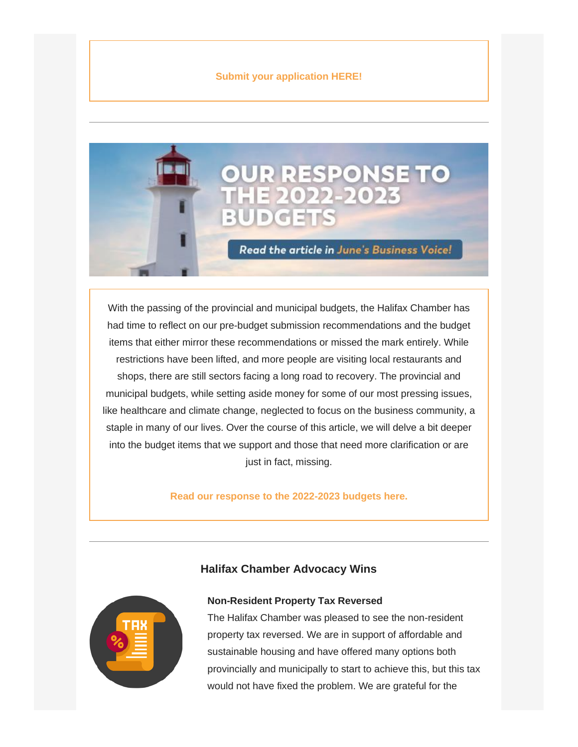

<span id="page-1-0"></span>With the passing of the provincial and municipal budgets, the Halifax Chamber has had time to reflect on our pre-budget submission recommendations and the budget items that either mirror these recommendations or missed the mark entirely. While restrictions have been lifted, and more people are visiting local restaurants and shops, there are still sectors facing a long road to recovery. The provincial and municipal budgets, while setting aside money for some of our most pressing issues, like healthcare and climate change, neglected to focus on the business community, a staple in many of our lives. Over the course of this article, we will delve a bit deeper into the budget items that we support and those that need more clarification or are just in fact, missing.

**[Read our response to the 2022-2023 budgets here.](https://halifaxchamber.us2.list-manage.com/track/click?u=aaef83e5eaecceb37d7dd79cf&id=64357c3759&e=4069260de3)**

<span id="page-1-1"></span>

# **Non-Resident Property Tax Reversed**

**Halifax Chamber Advocacy Wins**

The Halifax Chamber was pleased to see the non-resident property tax reversed. We are in support of affordable and sustainable housing and have offered many options both provincially and municipally to start to achieve this, but this tax would not have fixed the problem. We are grateful for the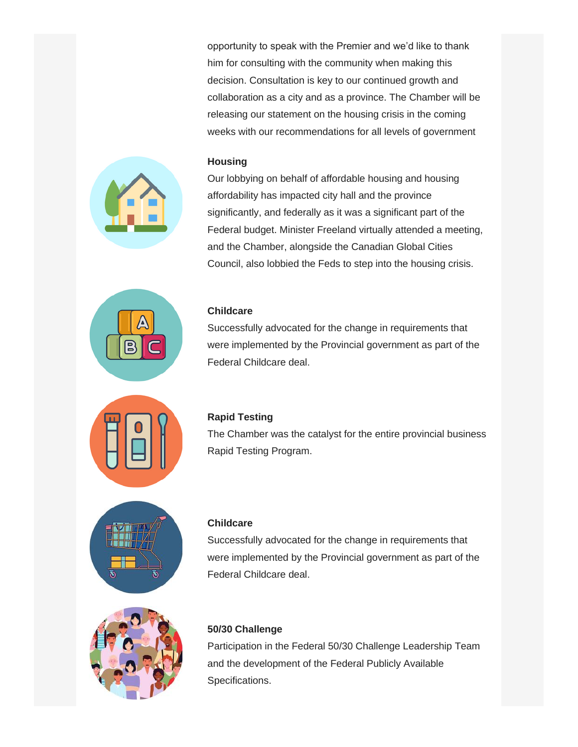opportunity to speak with the Premier and we'd like to thank him for consulting with the community when making this decision. Consultation is key to our continued growth and collaboration as a city and as a province. The Chamber will be releasing our statement on the housing crisis in the coming weeks with our recommendations for all levels of government

#### **Housing**

Our lobbying on behalf of affordable housing and housing affordability has impacted city hall and the province significantly, and federally as it was a significant part of the Federal budget. Minister Freeland virtually attended a meeting, and the Chamber, alongside the Canadian Global Cities Council, also lobbied the Feds to step into the housing crisis.

### **Childcare**

Successfully advocated for the change in requirements that were implemented by the Provincial government as part of the Federal Childcare deal.





#### **Rapid Testing**

The Chamber was the catalyst for the entire provincial business Rapid Testing Program.





#### **Childcare**

Successfully advocated for the change in requirements that were implemented by the Provincial government as part of the Federal Childcare deal.

## **50/30 Challenge**

Participation in the Federal 50/30 Challenge Leadership Team and the development of the Federal Publicly Available Specifications.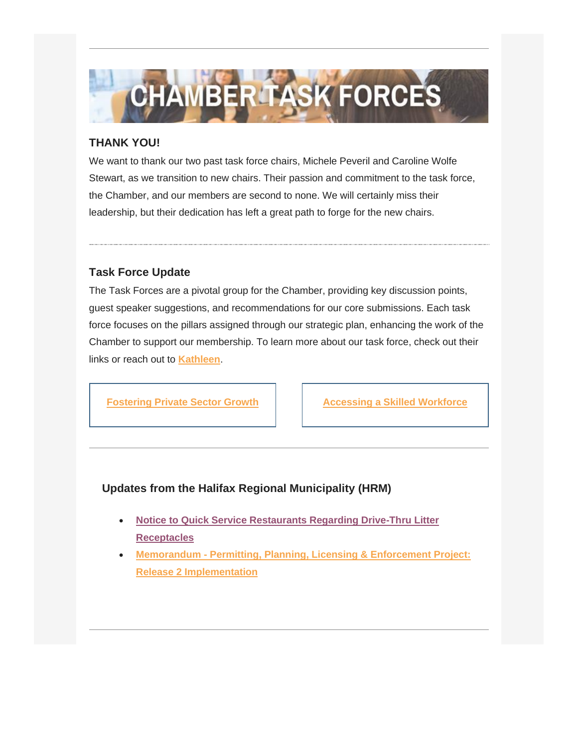

# <span id="page-3-0"></span>**THANK YOU!**

We want to thank our two past task force chairs, Michele Peveril and Caroline Wolfe Stewart, as we transition to new chairs. Their passion and commitment to the task force, the Chamber, and our members are second to none. We will certainly miss their leadership, but their dedication has left a great path to forge for the new chairs.

# **Task Force Update**

The Task Forces are a pivotal group for the Chamber, providing key discussion points, guest speaker suggestions, and recommendations for our core submissions. Each task force focuses on the pillars assigned through our strategic plan, enhancing the work of the Chamber to support our membership. To learn more about our task force, check out their links or reach out to **[Kathleen](mailto:kathleen@halifaxchamber.com)**.

**[Fostering Private Sector Growth](https://halifaxchamber.us2.list-manage.com/track/click?u=aaef83e5eaecceb37d7dd79cf&id=6e1a5340b3&e=4069260de3) | [Accessing a Skilled Workforce](https://halifaxchamber.us2.list-manage.com/track/click?u=aaef83e5eaecceb37d7dd79cf&id=3940a83bdd&e=4069260de3)** 

# <span id="page-3-1"></span>**Updates from the Halifax Regional Municipality (HRM)**

- **[Notice to Quick Service Restaurants Regarding Drive-Thru Litter](https://halifaxchamber.us2.list-manage.com/track/click?u=aaef83e5eaecceb37d7dd79cf&id=b076ba0c31&e=4069260de3)  [Receptacles](https://halifaxchamber.us2.list-manage.com/track/click?u=aaef83e5eaecceb37d7dd79cf&id=b076ba0c31&e=4069260de3)**
- **Memorandum - [Permitting, Planning, Licensing & Enforcement Project:](https://halifaxchamber.us2.list-manage.com/track/click?u=aaef83e5eaecceb37d7dd79cf&id=e200255629&e=4069260de3)  [Release 2 Implementation](https://halifaxchamber.us2.list-manage.com/track/click?u=aaef83e5eaecceb37d7dd79cf&id=e200255629&e=4069260de3)**